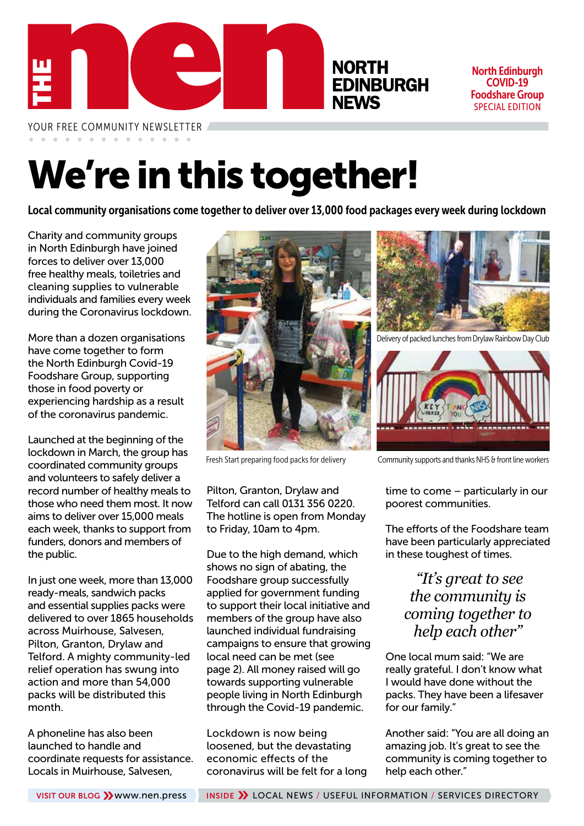

North Edinburgh COVID-19 Foodshare Group SPECIAL EDITION

YOUR FREE COMMUNITY NEWSLETTER

# We're in this together!

Local community organisations come together to deliver over 13,000 food packages every week during lockdown

Charity and community groups in North Edinburgh have joined forces to deliver over 13,000 free healthy meals, toiletries and cleaning supplies to vulnerable individuals and families every week during the Coronavirus lockdown.

More than a dozen organisations have come together to form the North Edinburgh Covid-19 Foodshare Group, supporting those in food poverty or experiencing hardship as a result of the coronavirus pandemic.

Launched at the beginning of the lockdown in March, the group has coordinated community groups and volunteers to safely deliver a record number of healthy meals to those who need them most. It now aims to deliver over 15,000 meals each week, thanks to support from funders, donors and members of the public.

In just one week, more than 13,000 ready-meals, sandwich packs and essential supplies packs were delivered to over 1865 households across Muirhouse, Salvesen, Pilton, Granton, Drylaw and Telford. A mighty community-led relief operation has swung into action and more than 54,000 packs will be distributed this month.

A phoneline has also been launched to handle and coordinate requests for assistance. Locals in Muirhouse, Salvesen,



Pilton, Granton, Drylaw and Telford can call 0131 356 0220. The hotline is open from Monday to Friday, 10am to 4pm.

Due to the high demand, which shows no sign of abating, the Foodshare group successfully applied for government funding to support their local initiative and members of the group have also launched individual fundraising campaigns to ensure that growing local need can be met (see page 2). All money raised will go towards supporting vulnerable people living in North Edinburgh through the Covid-19 pandemic.

Lockdown is now being loosened, but the devastating economic effects of the coronavirus will be felt for a long



Delivery of packed lunches from Drylaw Rainbow Day Club



Fresh Start preparing food packs for delivery Community supports and thanks NHS & front line workers

time to come – particularly in our poorest communities.

The efforts of the Foodshare team have been particularly appreciated in these toughest of times.

### *"It's great to see the community is coming together to help each other"*

One local mum said: "We are really grateful. I don't know what I would have done without the packs. They have been a lifesaver for our family."

Another said: "You are all doing an amazing job. It's great to see the community is coming together to help each other."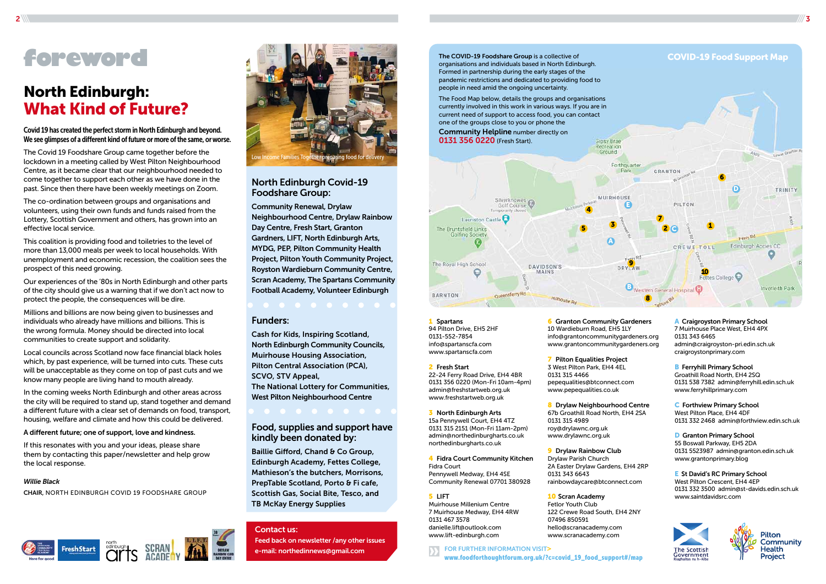

FOR FURTHER INFORMATION VISIT> www.foodforthoughtforum.org.uk/?c=covid\_19\_food\_support#/map

1 Spartans 94 Pilton Drive, EH5 2HF 0131-552-7854 info@spartanscfa.com www.spartanscfa.com

4 Fidra Court Community Kitchen Fidra Court Pennywell Medway, EH4 4SE Community Renewal 07701 380928

**6** Granton Community Gardeners 10 Wardieburn Road, EH5 1LY info@grantoncommunitygardeners.org www.grantoncommunitygardeners.org

8 Drylaw Neighbourhood Centre 67b Groathill Road North, EH4 2SA 0131 315 4989 roy@drylawnc.org.uk www.drylawnc.org.uk

#### 2 Fresh Start 22-24 Ferry Road Drive, EH4 4BR 0131 356 0220 (Mon-Fri 10am-4pm) admin@freshstartweb.org.uk www.freshstartweb.org.uk

**9** Drylaw Rainbow Club Drylaw Parish Church 2A Easter Drylaw Gardens, EH4 2RP 0131 343 6643 rainbowdaycare@btconnect.com

**10 Scran Academy** 

3 North Edinburgh Arts 15a Pennywell Court, EH4 4TZ 0131 315 2151 (Mon-Fri 11am-2pm) admin@northedinburgharts.co.uk northedinburgharts.co.uk

**B** Ferryhill Primary School Groathill Road North, EH4 2SQ 0131 538 7382 admin@ferryhill.edin.sch.uk www.ferryhillprimary.com

#### 5 LIFT

**D** Granton Primary School 55 Boswall Parkway, EH5 2DA 0131 5523987 admin@granton.edin.sch.uk www.grantonprimary.blog

Muirhouse Millenium Centre 7 Muirhouse Medway, EH4 4RW 0131 467 3578 danielle.lift@outlook.com www.lift-edinburgh.com

**E** St David's RC Primary School West Pilton Crescent, EH4 4EP 0131 332 3500 admin@st-davids.edin.sch.uk www.saintdavidsrc.com





7 Pilton Equalities Project 3 West Pilton Park, EH4 4EL 0131 315 4466 pepequalities@btconnect.com www.pepequalities.co.uk

Baillie Gifford, Chand & Co Group, Edinburgh Academy, Fettes College, Mathieson's the butchers, Morrisons, PrepTable Scotland, Porto & Fi cafe, Scottish Gas, Social Bite, Tesco, and TB McKay Energy Supplies

Fetlor Youth Club 122 Crewe Road South, EH4 2NY 07496 850591 hello@scranacademy.com www.scranacademy.com

A Craigroyston Primary School 7 Muirhouse Place West, EH4 4PX 0131 343 6465 admin@craigroyston-pri.edin.sch.uk craigroystonprimary.com

C Forthview Primary School West Pilton Place, EH4 4DF 0131 332 2468 admin@forthview.edin.sch.uk

### North Edinburgh Covid-19 Foodshare Group:

Community Renewal, Drylaw Neighbourhood Centre, Drylaw Rainbow Day Centre, Fresh Start, Granton Gardners, LIFT, North Edinburgh Arts, MYDG, PEP, Pilton Community Health Project, Pilton Youth Community Project, Royston Wardieburn Community Centre, Scran Academy, The Spartans Community Football Academy, Volunteer Edinburgh

### Funders:

Cash for Kids, Inspiring Scotland, North Edinburgh Community Councils, Muirhouse Housing Association, Pilton Central Association (PCA), SCVO, STV Appeal,

The National Lottery for Communities, West Pilton Neighbourhood Centre

### Food, supplies and support have kindly been donated by:

## North Edinburgh: What Kind of Future?

Covid 19 has created the perfect storm in North Edinburgh and beyond. We see glimpses of a different kind of future or more of the same, or worse.

The Covid 19 Foodshare Group came together before the lockdown in a meeting called by West Pilton Neighbourhood Centre, as it became clear that our neighbourhood needed to come together to support each other as we have done in the past. Since then there have been weekly meetings on Zoom.

The co-ordination between groups and organisations and volunteers, using their own funds and funds raised from the Lottery, Scottish Government and others, has grown into an effective local service.

This coalition is providing food and toiletries to the level of more than 13,000 meals per week to local households. With unemployment and economic recession, the coalition sees the prospect of this need growing.

Our experiences of the '80s in North Edinburgh and other parts of the city should give us a warning that if we don't act now to protect the people, the consequences will be dire.

Millions and billions are now being given to businesses and individuals who already have millions and billions. This is the wrong formula. Money should be directed into local communities to create support and solidarity.

Local councils across Scotland now face financial black holes which, by past experience, will be turned into cuts. These cuts will be unacceptable as they come on top of past cuts and we know many people are living hand to mouth already.

In the coming weeks North Edinburgh and other areas across the city will be required to stand up, stand together and demand a different future with a clear set of demands on food, transport, housing, welfare and climate and how this could be delivered.

### A different future; one of support, love and kindness.

If this resonates with you and your ideas, please share them by contacting this paper/newsletter and help grow the local response.

#### *Willie Black*

CHAIR, NORTH EDINBURGH COVID 19 FOODSHARE GROUP



# **foreword**

### Contact us:

Feed back on newsletter /any other issues e-mail: northedinnews@gmail.com

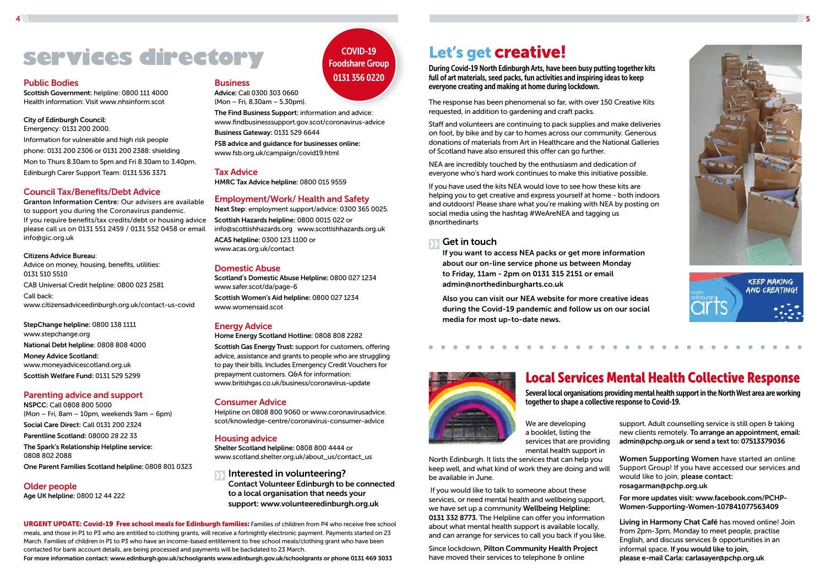# Services directory COVID-19 Let's get creative!

### Public Bodies

Scottish Government: helpline: 0800 111 4000 Health information: Visit www.nhsinform.scot

### City of Edinburgh Council:

Emergency: 0131 200 2000. Information for vulnerable and high risk people phone: 0131 200 2306 or 0131 200 2388: shielding Mon to Thurs 8.30am to 5pm and Fri 8.30am to 3.40pm. Edinburgh Carer Support Team: 0131 536 3371

### Council Tax/Benefits/Debt Advice

Granton Information Centre: Our advisers are available to support you during the Coronavirus pandemic. If you require benefits/tax credits/debt or housing advice Scottish Hazards helpline: 0800 0015 022 or please call us on 0131 551 2459 / 0131 552 0458 or email info@gic.org.uk

### Citizens Advice Bureau:

Advice on money, housing, benefits, utilities: 0131 510 5510 CAB Universal Credit helpline: 0800 023 2581

Call back: www.citizensadviceedinburgh.org.uk/contact-us-covid

StepChange helpline: 0800 138 1111 www.stepchange.org National Debt helpline: 0808 808 4000 Money Advice Scotland: www.moneyadvicescotland.org.uk Scottish Welfare Fund: 0131 529 5299

### Parenting advice and support

NSPCC: Call 0808 800 5000 (Mon – Fri, 8am – 10pm, weekends 9am – 6pm) Social Care Direct: Call 0131 200 2324 Parentline Scotland: 08000 28 22 33

The Spark's Relationship Helpline service: 0808 802 2088

One Parent Families Scotland helpline: 0808 801 0323

Older people Age UK helpline: 0800 12 44 222

#### **Business**

Advice: Call 0300 303 0660 (Mon – Fri, 8.30am – 5.30pm).

The Find Business Support: information and advice: www.findbusinesssupport.gov.scot/coronavirus-advice

Business Gateway: 0131 529 6644

FSB advice and guidance for businesses online: www.fsb.org.uk/campaign/covid19.html

### Tax Advice

HMRC Tax Advice helpline: 0800 015 9559

### Employment/Work/ Health and Safety

Next Step: employment support/advice: 0300 365 0025. info@scottishhazards.org www.scottishhazards.org.uk ACAS helpline: 0300 123 1100 or www.acas.org.uk/contact

### Domestic Abuse

Scotland's Domestic Abuse Helpline: 0800 027 1234 www.safer.scot/da/page-6 Scottish Women's Aid helpline: 0800 027 1234 www.womensaid.scot

### Energy Advice

Home Energy Scotland Hotline: 0808 808 2282

Scottish Gas Energy Trust: support for customers, offering advice, assistance and grants to people who are struggling to pay their bills. Includes Emergency Credit Vouchers for prepayment customers. Q&A for information: www.britishgas.co.uk/business/coronavirus-update

> Since lockdown, Pilton Community Health Project have moved their services to telephone & online





### Consumer Advice

Helpline on 0808 800 9060 or www.coronavirusadvice. scot/knowledge-centre/coronavirus-consumer-advice

support. Adult counselling service is still open & taking new clients remotely. To arrange an appointment, email: admin@pchp.org.uk or send a text to: 07513379036

### Housing advice

Shelter Scotland helpline: 0808 800 4444 or www.scotland.shelter.org.uk/about\_us/contact\_us

Interested in volunteering?

Contact Volunteer Edinburgh to be connected to a local organisation that needs your support: www.volunteeredinburgh.org.uk

### COVID-19 Foodshare Group 0131 356 0220

 $4\,\%$  . The same set of the same set of the same set of the same set of the same set of the same set of the same set of the same set of the same set of the same set of the same set of the same set of the same set of the

During Covid-19 North Edinburgh Arts, have been busy putting together kits full of art materials, seed packs, fun activities and inspiring ideas to keep everyone creating and making at home during lockdown.

The response has been phenomenal so far, with over 150 Creative Kits requested, in addition to gardening and craft packs.

Staff and volunteers are continuing to pack supplies and make deliveries on foot, by bike and by car to homes across our community. Generous donations of materials from Art in Healthcare and the National Galleries of Scotland have also ensured this offer can go further.

NEA are incredibly touched by the enthusiasm and dedication of everyone who's hard work continues to make this initiative possible.

If you have used the kits NEA would love to see how these kits are helping you to get creative and express yourself at home - both indoors and outdoors! Please share what you're making with NEA by posting on social media using the hashtag #WeAreNEA and tagging us @northedinarts

### Get in touch

If you want to access NEA packs or get more information about our on-line service phone us between Monday to Friday, 11am - 2pm on 0131 315 2151 or email admin@northedinburgharts.co.uk

Also you can visit our NEA website for more creative ideas during the Covid-19 pandemic and follow us on our social media for most up-to-date news.



We are developing a booklet, listing the services that are providing mental health support in

North Edinburgh. It lists the services that can help you keep well, and what kind of work they are doing and will be available in June.

 If you would like to talk to someone about these services, or need mental health and wellbeing support, we have set up a community Wellbeing Helpline: 0131 332 8773. The Helpline can offer you information about what mental health support is available locally, and can arrange for services to call you back if you like.

Women Supporting Women have started an online Support Group! If you have accessed our services and would like to join, please contact: rosagarman@pchp.org.uk

For more updates visit: www.facebook.com/PCHP-Women-Supporting-Women-107841077563409

Living in Harmony Chat Café has moved online! Join from 2pm-3pm, Monday to meet people, practise English, and discuss services & opportunities in an informal space. If you would like to join, please e-mail Carla: carlasayer@pchp.org.uk

## Local Services Mental Health Collective Response

Several local organisations providing mental health support in the North West area are working together to shape a collective response to Covid-19.

URGENT UPDATE: Covid-19 Free school meals for Edinburgh families: Families of children from P4 who receive free school meals, and those in P1 to P3 who are entitled to clothing grants, will receive a fortnightly electronic payment. Payments started on 23 March. Families of children in P1 to P3 who have an income-based entitlement to free school meals/clothing grant who have been contacted for bank account details, are being processed and payments will be backdated to 23 March.

For more information contact: www.edinburgh.gov.uk/schoolgrants www.edinburgh.gov.uk/schoolgrants or phone 0131 469 3033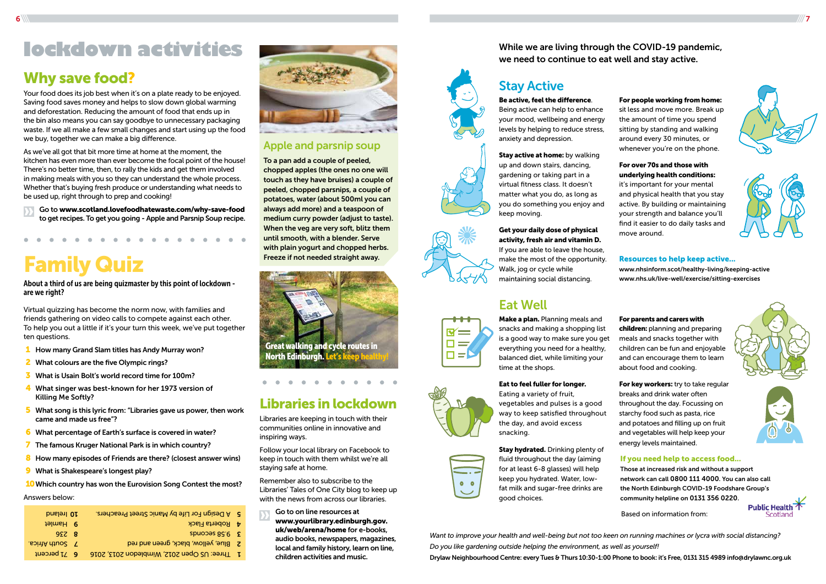



### Libraries in lockdown

Libraries are keeping in touch with their communities online in innovative and inspiring ways.

Follow your local library on Facebook to keep in touch with them whilst we're all staying safe at home.

Remember also to subscribe to the Libraries' Tales of One City blog to keep up with the news from across our libraries.

Go to on line resources at www.yourlibrary.edinburgh.gov. uk/web/arena/home for e-books, audio books, newspapers, magazines, local and family history, learn on line, children activities and music.



Make a plan. Planning meals and snacks and making a shopping list is a good way to make sure you get everything you need for a healthy, balanced diet, while limiting your time at the shops.

### Resources to help keep active...

www.nhsinform.scot/healthy-living/keeping-active www.nhs.uk/live-well/exercise/sitting-exercises

Stay hydrated. Drinking plenty of fluid throughout the day (aiming for at least 6-8 glasses) will help keep you hydrated. Water, lowfat milk and sugar-free drinks are good choices.

### If you need help to access food...

Those at increased risk and without a support network can call 0800 111 4000. You can also call the North Edinburgh COVID-19 Foodshare Group's community helpline on 0131 356 0220.

For key workers: try to take regular breaks and drink water often throughout the day. Focussing on starchy food such as pasta, rice and potatoes and filling up on fruit and vegetables will help keep your energy levels maintained.

## Stay Active

### Eat Well



 $0<sub>0</sub>$ 

### Stay active at home: by walking up and down stairs, dancing, gardening or taking part in a

### Eat to feel fuller for longer.

Eating a variety of fruit, vegetables and pulses is a good way to keep satisfied throughout the day, and avoid excess snacking.

For parents and carers with children: planning and preparing meals and snacks together with children can be fun and enjoyable and can encourage them to learn about food and cooking.

### Be active, feel the difference.

Being active can help to enhance your mood, wellbeing and energy levels by helping to reduce stress, anxiety and depression.

virtual fitness class. It doesn't matter what you do, as long as you do something you enjoy and keep moving.

### Get your daily dose of physical activity, fresh air and vitamin D.

If you are able to leave the house, make the most of the opportunity. Walk, jog or cycle while maintaining social distancing.

For people working from home: sit less and move more. Break up the amount of time you spend sitting by standing and walking around every 30 minutes, or whenever you're on the phone.

For over 70s and those with underlying health conditions: it's important for your mental and physical health that you stay active. By building or maintaining your strength and balance you'll find it easier to do daily tasks and move around.

Based on information from:







![](_page_3_Picture_62.jpeg)

# Family Quiz

About a third of us are being quizmaster by this point of lockdown are we right?

Virtual quizzing has become the norm now, with families and friends gathering on video calls to compete against each other. To help you out a little if it's your turn this week, we've put together ten questions.

- **1** How many Grand Slam titles has Andy Murray won?
- 2 What colours are the five Olympic rings?
- 3 What is Usain Bolt's world record time for 100m?
- 4 What singer was best-known for her 1973 version of Killing Me Softly?
- 5 What song is this lyric from: "Libraries gave us power, then work came and made us free"?
- 6 What percentage of Earth's surface is covered in water?
- 7 The famous Kruger National Park is in which country?
- 8 How many episodes of Friends are there? (closest answer wins)
- **9** What is Shakespeare's longest play?

10 Which country has won the Eurovision Song Contest the most?

### Answers below:

## Why save food?

Your food does its job best when it's on a plate ready to be enjoyed. Saving food saves money and helps to slow down global warming and deforestation. Reducing the amount of food that ends up in the bin also means you can say goodbye to unnecessary packaging waste. If we all make a few small changes and start using up the food we buy, together we can make a big difference.

As we've all got that bit more time at home at the moment, the kitchen has even more than ever become the focal point of the house! There's no better time, then, to rally the kids and get them involved in making meals with you so they can understand the whole process. Whether that's buying fresh produce or understanding what needs to be used up, right through to prep and cooking!

Go to www.scotland.lovefoodhatewaste.com/why-save-food to get recipes. To get you going - Apple and Parsnip Soup recipe.

### Apple and parsnip soup

To a pan add a couple of peeled, chopped apples (the ones no one will touch as they have bruises) a couple of peeled, chopped parsnips, a couple of potatoes, water (about 500ml you can always add more) and a teaspoon of medium curry powder (adjust to taste). When the veg are very soft, blitz them until smooth, with a blender. Serve with plain yogurt and chopped herbs. Freeze if not needed straight away.

| 5 A Design For Life by Manic Street Preachers. |
|------------------------------------------------|
| 4 Roberta Flack                                |
| Spuopes 85.6 E                                 |
| 2 Blue, yellow, black, green and red           |
| 1 Three: US Open 2012, Wimbledon 2013, 2016    |
|                                                |

![](_page_3_Picture_20.jpeg)

## **lockdown activities**

*Want to improve your health and well-being but not too keen on running machines or lycra with social distancing? Do you like gardening outside helping the environment, as well as yourself!* Drylaw Neighbourhood Centre: every Tues & Thurs 10:30-1:00 Phone to book: it's Free, 0131 315 4989 info@drylawnc.org.uk

![](_page_3_Picture_23.jpeg)